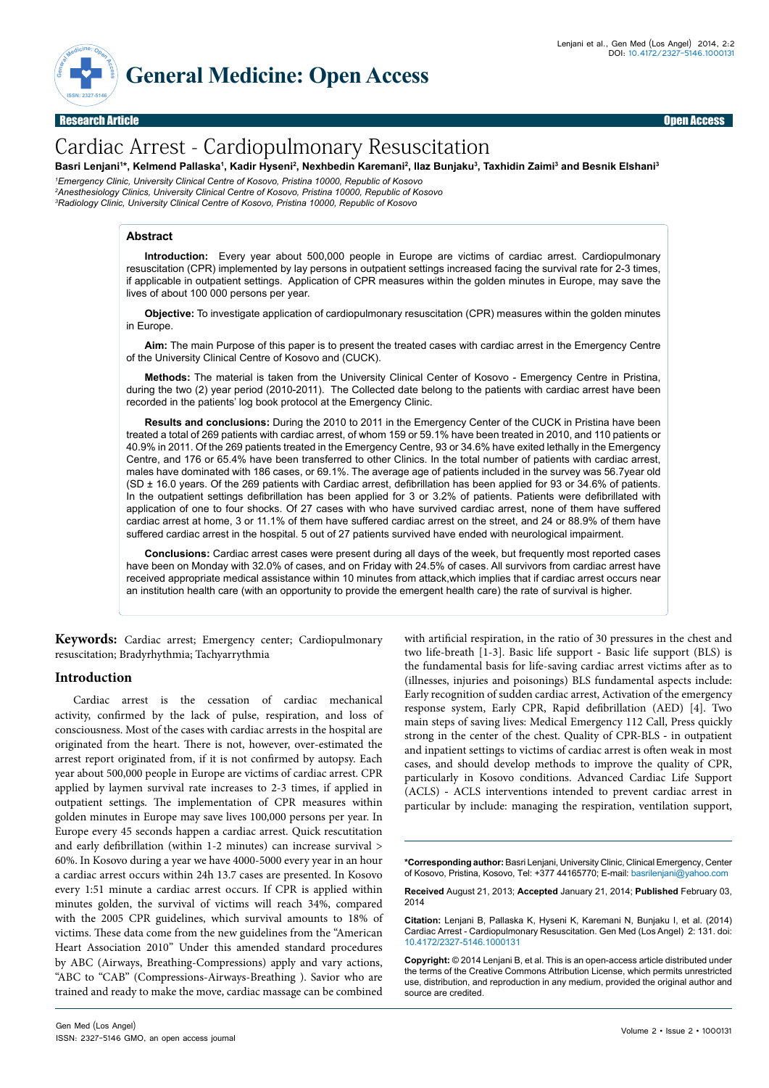

Research Article Open Access

# Cardiac Arrest - Cardiopulmonary Resuscitation

Basri Lenjani'\*, Kelmend Pallaska', Kadir Hyseni<sup>2</sup>, Nexhbedin Karemani<sup>2</sup>, Ilaz Bunjaku<sup>3</sup>, Taxhidin Zaimi<sup>3</sup> and Besnik Elshani<sup>3</sup>

*1 Emergency Clinic, University Clinical Centre of Kosovo, Pristina 10000, Republic of Kosovo*

*2 Anesthesiology Clinics, University Clinical Centre of Kosovo, Pristina 10000, Republic of Kosovo 3 Radiology Clinic, University Clinical Centre of Kosovo, Pristina 10000, Republic of Kosovo* 

# **Abstract**

**Introduction:** Every year about 500,000 people in Europe are victims of cardiac arrest. Cardiopulmonary resuscitation (CPR) implemented by lay persons in outpatient settings increased facing the survival rate for 2-3 times, if applicable in outpatient settings. Application of CPR measures within the golden minutes in Europe, may save the lives of about 100 000 persons per year.

**Objective:** To investigate application of cardiopulmonary resuscitation (CPR) measures within the golden minutes in Europe.

**Aim:** The main Purpose of this paper is to present the treated cases with cardiac arrest in the Emergency Centre of the University Clinical Centre of Kosovo and (CUCK).

**Methods:** The material is taken from the University Clinical Center of Kosovo - Emergency Centre in Pristina, during the two (2) year period (2010-2011). The Collected date belong to the patients with cardiac arrest have been recorded in the patients' log book protocol at the Emergency Clinic.

**Results and conclusions:** During the 2010 to 2011 in the Emergency Center of the CUCK in Pristina have been treated a total of 269 patients with cardiac arrest, of whom 159 or 59.1% have been treated in 2010, and 110 patients or 40.9% in 2011. Of the 269 patients treated in the Emergency Centre, 93 or 34.6% have exited lethally in the Emergency Centre, and 176 or 65.4% have been transferred to other Clinics. In the total number of patients with cardiac arrest, males have dominated with 186 cases, or 69.1%. The average age of patients included in the survey was 56.7year old (SD ± 16.0 years. Of the 269 patients with Cardiac arrest, defibrillation has been applied for 93 or 34.6% of patients. In the outpatient settings defibrillation has been applied for 3 or 3.2% of patients. Patients were defibrillated with application of one to four shocks. Of 27 cases with who have survived cardiac arrest, none of them have suffered cardiac arrest at home, 3 or 11.1% of them have suffered cardiac arrest on the street, and 24 or 88.9% of them have suffered cardiac arrest in the hospital. 5 out of 27 patients survived have ended with neurological impairment.

**Conclusions:** Cardiac arrest cases were present during all days of the week, but frequently most reported cases have been on Monday with 32.0% of cases, and on Friday with 24.5% of cases. All survivors from cardiac arrest have received appropriate medical assistance within 10 minutes from attack,which implies that if cardiac arrest occurs near an institution health care (with an opportunity to provide the emergent health care) the rate of survival is higher.

**Keywords:**  Cardiac arrest; Emergency center; Cardiopulmonary resuscitation; Bradyrhythmia; Tachyarrythmia

# **Introduction**

Cardiac arrest is the cessation of cardiac mechanical activity, confirmed by the lack of pulse, respiration, and loss of consciousness. Most of the cases with cardiac arrests in the hospital are originated from the heart. There is not, however, over-estimated the arrest report originated from, if it is not confirmed by autopsy. Each year about 500,000 people in Europe are victims of cardiac arrest. CPR applied by laymen survival rate increases to 2-3 times, if applied in outpatient settings. The implementation of CPR measures within golden minutes in Europe may save lives 100,000 persons per year. In Europe every 45 seconds happen a cardiac arrest. Quick rescutitation and early defibrillation (within 1-2 minutes) can increase survival > 60%. In Kosovo during a year we have 4000-5000 every year in an hour a cardiac arrest occurs within 24h 13.7 cases are presented. In Kosovo every 1:51 minute a cardiac arrest occurs. If CPR is applied within minutes golden, the survival of victims will reach 34%, compared with the 2005 CPR guidelines, which survival amounts to 18% of victims. These data come from the new guidelines from the "American Heart Association 2010" Under this amended standard procedures by ABC (Airways, Breathing-Compressions) apply and vary actions, "ABC to "CAB" (Compressions-Airways-Breathing ). Savior who are trained and ready to make the move, cardiac massage can be combined

with artificial respiration, in the ratio of 30 pressures in the chest and two life-breath [1-3]. Basic life support **-** Basic life support (BLS) is the fundamental basis for life-saving cardiac arrest victims after as to (illnesses, injuries and poisonings) BLS fundamental aspects include: Early recognition of sudden cardiac arrest, Activation of the emergency response system, Early CPR, Rapid defibrillation (AED) [4]. Two main steps of saving lives: Medical Emergency 112 Call, Press quickly strong in the center of the chest. Quality of CPR-BLS **-** in outpatient and inpatient settings to victims of cardiac arrest is often weak in most cases, and should develop methods to improve the quality of CPR, particularly in Kosovo conditions. Advanced Cardiac Life Support (ACLS) **-** ACLS interventions intended to prevent cardiac arrest in particular by include: managing the respiration, ventilation support,

**\*Corresponding author:** Basri Lenjani, University Clinic, Clinical Emergency, Center of Kosovo, Pristina, Kosovo, Tel: +377 44165770; E-mail: basrilenjani@yahoo.com

**Received** August 21, 2013; **Accepted** January 21, 2014; **Published** February 03, 2014

**Citation:** Lenjani B, Pallaska K, Hyseni K, Karemani N, Bunjaku I, et al. (2014) Cardiac Arrest - Cardiopulmonary Resuscitation. Gen Med (Los Angel) 2: 131. doi: 10.4172/2327-5146.1000131

**Copyright:** © 2014 Lenjani B, et al. This is an open-access article distributed under the terms of the Creative Commons Attribution License, which permits unrestricted use, distribution, and reproduction in any medium, provided the original author and source are credited.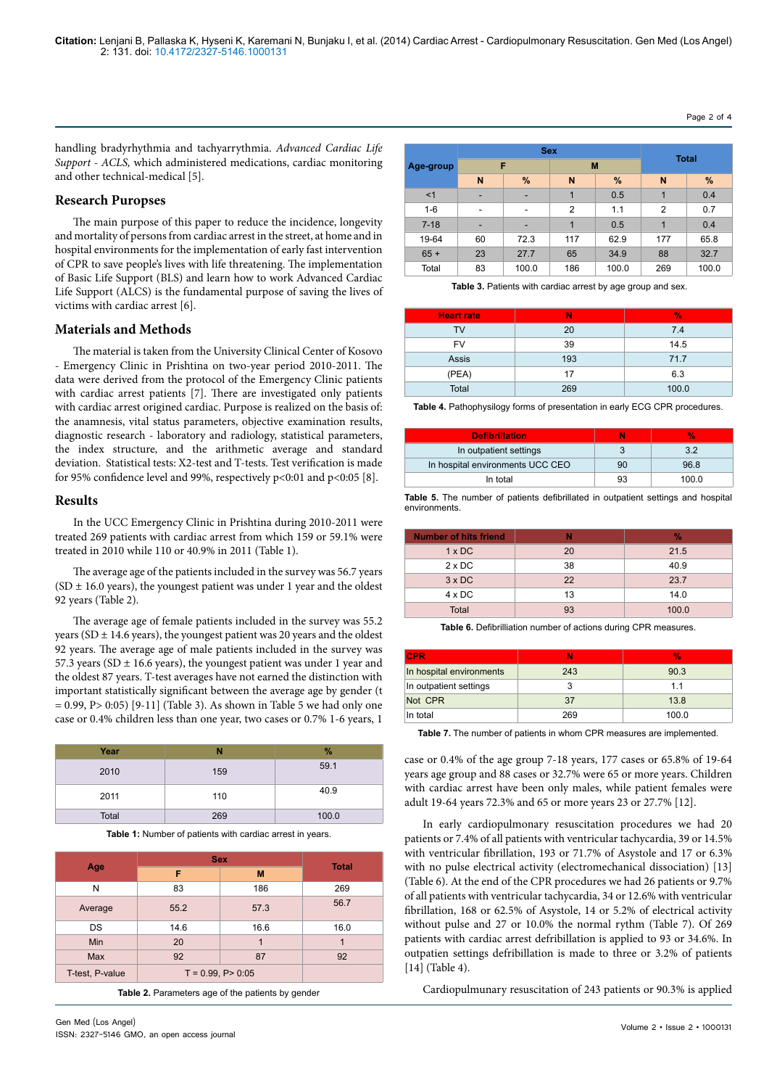handling bradyrhythmia and tachyarrythmia. *Advanced Cardiac Life Support - ACLS,* which administered medications, cardiac monitoring and other technical-medical [5].

# **Research Puropses**

The main purpose of this paper to reduce the incidence, longevity and mortality of persons from cardiac arrest in the street, at home and in hospital environments for the implementation of early fast intervention of CPR to save people's lives with life threatening. The implementation of Basic Life Support (BLS) and learn how to work Advanced Cardiac Life Support (ALCS) is the fundamental purpose of saving the lives of victims with cardiac arrest [6].

### **Materials and Methods**

The material is taken from the University Clinical Center of Kosovo - Emergency Clinic in Prishtina on two-year period 2010-2011. The data were derived from the protocol of the Emergency Clinic patients with cardiac arrest patients [7]. There are investigated only patients with cardiac arrest origined cardiac. Purpose is realized on the basis of: the anamnesis, vital status parameters, objective examination results, diagnostic research - laboratory and radiology, statistical parameters, the index structure, and the arithmetic average and standard deviation. Statistical tests: X2-test and T-tests. Test verification is made for 95% confidence level and 99%, respectively  $p<0:01$  and  $p<0:05$  [8].

# **Results**

In the UCC Emergency Clinic in Prishtina during 2010-2011 were treated 269 patients with cardiac arrest from which 159 or 59.1% were treated in 2010 while 110 or 40.9% in 2011 (Table 1).

The average age of the patients included in the survey was 56.7 years  $(SD ± 16.0 \text{ years})$ , the youngest patient was under 1 year and the oldest 92 years (Table 2).

The average age of female patients included in the survey was 55.2 years ( $SD \pm 14.6$  years), the youngest patient was 20 years and the oldest 92 years. The average age of male patients included in the survey was 57.3 years (SD  $\pm$  16.6 years), the youngest patient was under 1 year and the oldest 87 years. T-test averages have not earned the distinction with important statistically significant between the average age by gender (t  $= 0.99$ , P $> 0:05$ ) [9-11] (Table 3). As shown in Table 5 we had only one case or 0.4% children less than one year, two cases or 0.7% 1-6 years, 1

| Year  | N   | $\%$  |
|-------|-----|-------|
| 2010  | 159 | 59.1  |
| 2011  | 110 | 40.9  |
| Total | 269 | 100.0 |

**Table 1:** Number of patients with cardiac arrest in years.

|                 | <b>Sex</b>              |      |              |
|-----------------|-------------------------|------|--------------|
| Age             | F                       | M    | <b>Total</b> |
| N               | 83                      | 186  | 269          |
| Average         | 55.2                    | 57.3 | 56.7         |
| DS              | 14.6                    | 16.6 | 16.0         |
| Min             | 20                      | 1    | 1            |
| <b>Max</b>      | 92                      | 87   | 92           |
| T-test, P-value | $T = 0.99$ , $P > 0.05$ |      |              |

**Table 2.** Parameters age of the patients by gender

| <b>Sex</b> |    |       |                | <b>Total</b> |                |       |
|------------|----|-------|----------------|--------------|----------------|-------|
| Age-group  |    | F     |                | M            |                |       |
|            | N  | %     | N              | %            | N              | %     |
| <1         | ۰  | -     | 1              | 0.5          | 1              | 0.4   |
| $1 - 6$    | ۰  | ۰     | $\overline{2}$ | 1.1          | $\overline{2}$ | 0.7   |
| $7 - 18$   | -  | ۰     | 1              | 0.5          | 1              | 0.4   |
| 19-64      | 60 | 72.3  | 117            | 62.9         | 177            | 65.8  |
| $65 +$     | 23 | 27.7  | 65             | 34.9         | 88             | 32.7  |
| Total      | 83 | 100.0 | 186            | 100.0        | 269            | 100.0 |

 **Table 3.** Patients with cardiac arrest by age group and sex.

| <b>Heart rate</b> | Ν   | $\frac{9}{6}$ |
|-------------------|-----|---------------|
| TV                | 20  | 7.4           |
| FV                | 39  | 14.5          |
| <b>Assis</b>      | 193 | 71.7          |
| (PEA)             | 17  | 6.3           |
| Total             | 269 | 100.0         |

**Table 4.** Pathophysilogy forms of presentation in early ECG CPR procedures.

| <b>Defibrillation</b>            | Ν  | v.    |
|----------------------------------|----|-------|
| In outpatient settings           |    | 32    |
| In hospital environments UCC CEO | 90 | 968   |
| In total                         | qз | 100.0 |

**Table 5.** The number of patients defibrillated in outpatient settings and hospital environments.

| <b>Number of hits friend</b> |    | $\%$  |
|------------------------------|----|-------|
| $1 \times DC$                | 20 | 21.5  |
| $2 \times DC$                | 38 | 40.9  |
| $3 \times DC$                | 22 | 23.7  |
| $4 \times DC$                | 13 | 14.0  |
| Total                        | 93 | 100.0 |

**Table 6.** Defibrilliation number of actions during CPR measures.

| <b>CPR</b>               | Ν   | v.    |
|--------------------------|-----|-------|
| In hospital environments | 243 | 90.3  |
| In outpatient settings   |     | 11    |
| Not CPR                  | 37  | 13.8  |
| In total                 | 269 | 100.0 |

**Table 7.** The number of patients in whom CPR measures are implemented.

case or 0.4% of the age group 7-18 years, 177 cases or 65.8% of 19-64 years age group and 88 cases or 32.7% were 65 or more years. Children with cardiac arrest have been only males, while patient females were adult 19-64 years 72.3% and 65 or more years 23 or 27.7% [12].

In early cardiopulmonary resuscitation procedures we had 20 patients or 7.4% of all patients with ventricular tachycardia, 39 or 14.5% with ventricular fibrillation, 193 or 71.7% of Asystole and 17 or 6.3% with no pulse electrical activity (electromechanical dissociation) [13] (Table 6). At the end of the CPR procedures we had 26 patients or 9.7% of all patients with ventricular tachycardia, 34 or 12.6% with ventricular fibrillation, 168 or 62.5% of Asystole, 14 or 5.2% of electrical activity without pulse and 27 or 10.0% the normal rythm (Table 7). Of 269 patients with cardiac arrest defribillation is applied to 93 or 34.6%. In outpatien settings defribillation is made to three or 3.2% of patients [14] (Table 4).

Cardiopulmunary resuscitation of 243 patients or 90.3% is applied

Page 2 of 4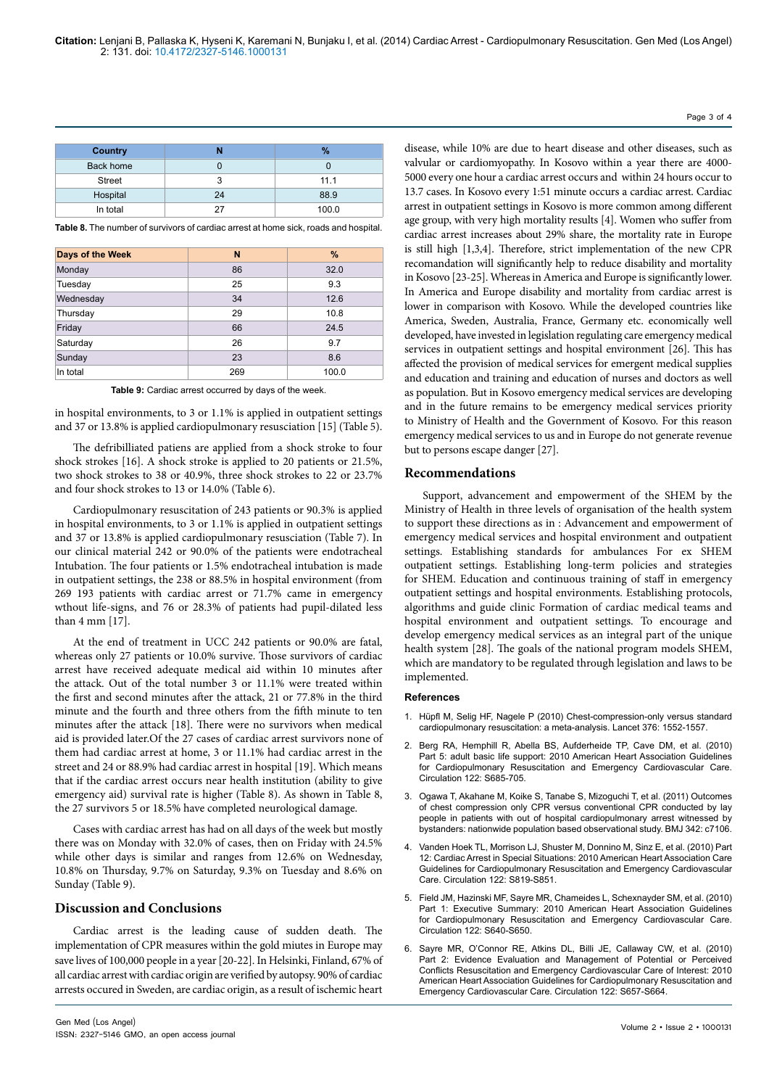| Country       |    | $\frac{9}{6}$ |
|---------------|----|---------------|
| Back home     |    |               |
| <b>Street</b> |    | 11.1          |
| Hospital      | 24 | 88.9          |
| In total      | 27 | 100.0         |

**Table 8.** The number of survivors of cardiac arrest at home sick, roads and hospital.

| Days of the Week | N   | $\%$  |
|------------------|-----|-------|
| Monday           | 86  | 32.0  |
| Tuesday          | 25  | 9.3   |
| Wednesday        | 34  | 12.6  |
| Thursday         | 29  | 10.8  |
| Friday           | 66  | 24.5  |
| Saturday         | 26  | 9.7   |
| Sunday           | 23  | 8.6   |
| In total         | 269 | 100.0 |

**Table 9:** Cardiac arrest occurred by days of the week.

in hospital environments, to 3 or 1.1% is applied in outpatient settings and 37 or 13.8% is applied cardiopulmonary resusciation [15] (Table 5).

The defribilliated patiens are applied from a shock stroke to four shock strokes [16]. A shock stroke is applied to 20 patients or 21.5%, two shock strokes to 38 or 40.9%, three shock strokes to 22 or 23.7% and four shock strokes to 13 or 14.0% (Table 6).

Cardiopulmonary resuscitation of 243 patients or 90.3% is applied in hospital environments, to 3 or 1.1% is applied in outpatient settings and 37 or 13.8% is applied cardiopulmonary resusciation (Table 7). In our clinical material 242 or 90.0% of the patients were endotracheal Intubation. The four patients or 1.5% endotracheal intubation is made in outpatient settings, the 238 or 88.5% in hospital environment (from 269 193 patients with cardiac arrest or 71.7% came in emergency wthout life-signs, and 76 or 28.3% of patients had pupil-dilated less than 4 mm [17].

At the end of treatment in UCC 242 patients or 90.0% are fatal, whereas only 27 patients or 10.0% survive. Those survivors of cardiac arrest have received adequate medical aid within 10 minutes after the attack. Out of the total number 3 or 11.1% were treated within the first and second minutes after the attack, 21 or 77.8% in the third minute and the fourth and three others from the fifth minute to ten minutes after the attack [18]. There were no survivors when medical aid is provided later.Of the 27 cases of cardiac arrest survivors none of them had cardiac arrest at home, 3 or 11.1% had cardiac arrest in the street and 24 or 88.9% had cardiac arrest in hospital [19]. Which means that if the cardiac arrest occurs near health institution (ability to give emergency aid) survival rate is higher (Table 8). As shown in Table 8, the 27 survivors 5 or 18.5% have completed neurological damage.

Cases with cardiac arrest has had on all days of the week but mostly there was on Monday with 32.0% of cases, then on Friday with 24.5% while other days is similar and ranges from 12.6% on Wednesday, 10.8% on Thursday, 9.7% on Saturday, 9.3% on Tuesday and 8.6% on Sunday (Table 9).

#### **Discussion and Conclusions**

Cardiac arrest is the leading cause of sudden death. The implementation of CPR measures within the gold miutes in Europe may save lives of 100,000 people in a year [20-22]. In Helsinki, Finland, 67% of all cardiac arrest with cardiac origin are verified by autopsy. 90% of cardiac arrests occured in Sweden, are cardiac origin, as a result of ischemic heart

disease, while 10% are due to heart disease and other diseases, such as valvular or cardiomyopathy. In Kosovo within a year there are 4000- 5000 every one hour a cardiac arrest occurs and within 24 hours occur to 13.7 cases. In Kosovo every 1:51 minute occurs a cardiac arrest. Cardiac arrest in outpatient settings in Kosovo is more common among different age group, with very high mortality results [4]. Women who suffer from cardiac arrest increases about 29% share, the mortality rate in Europe is still high [1,3,4]. Therefore, strict implementation of the new CPR recomandation will significantly help to reduce disability and mortality in Kosovo [23-25]. Whereas in America and Europe is significantly lower. In America and Europe disability and mortality from cardiac arrest is lower in comparison with Kosovo. While the developed countries like America, Sweden, Australia, France, Germany etc. economically well developed, have invested in legislation regulating care emergency medical services in outpatient settings and hospital environment [26]. This has affected the provision of medical services for emergent medical supplies and education and training and education of nurses and doctors as well as population. But in Kosovo emergency medical services are developing and in the future remains to be emergency medical services priority to Ministry of Health and the Government of Kosovo. For this reason emergency medical services to us and in Europe do not generate revenue but to persons escape danger [27].

#### **Recommendations**

Support, advancement and empowerment of the SHEM by the Ministry of Health in three levels of organisation of the health system to support these directions as in : Advancement and empowerment of emergency medical services and hospital environment and outpatient settings. Establishing standards for ambulances For ex SHEM outpatient settings. Establishing long-term policies and strategies for SHEM. Education and continuous training of staff in emergency outpatient settings and hospital environments. Establishing protocols, algorithms and guide clinic Formation of cardiac medical teams and hospital environment and outpatient settings. To encourage and develop emergency medical services as an integral part of the unique health system [28]. The goals of the national program models SHEM, which are mandatory to be regulated through legislation and laws to be implemented.

#### **References**

- 1. [Hüpfl M, Selig HF, Nagele P \(2010\) Chest-compression-only versus standard](http://www.ncbi.nlm.nih.gov/pubmed/20951422)  [cardiopulmonary resuscitation: a meta-analysis. Lancet 376: 1552-1557.](http://www.ncbi.nlm.nih.gov/pubmed/20951422)
- 2. [Berg RA, Hemphill R, Abella BS, Aufderheide TP, Cave DM, et al. \(2010\)](http://www.ncbi.nlm.nih.gov/pubmed/20956221)  [Part 5: adult basic life support: 2010 American Heart Association Guidelines](http://www.ncbi.nlm.nih.gov/pubmed/20956221)  [for Cardiopulmonary Resuscitation and Emergency Cardiovascular Care.](http://www.ncbi.nlm.nih.gov/pubmed/20956221)  [Circulation 122: S685-705.](http://www.ncbi.nlm.nih.gov/pubmed/20956221)
- 3. [Ogawa T, Akahane M, Koike S, Tanabe S, Mizoguchi T, et al. \(2011\) Outcomes](http://www.bmj.com/content/342/bmj.c7106)  [of chest compression only CPR versus conventional CPR conducted by lay](http://www.bmj.com/content/342/bmj.c7106)  [people in patients with out of hospital cardiopulmonary arrest witnessed by](http://www.bmj.com/content/342/bmj.c7106)  [bystanders: nationwide population based observational study. BMJ 342: c7106.](http://www.bmj.com/content/342/bmj.c7106)
- 4. [Vanden Hoek TL, Morrison LJ, Shuster M, Donnino M, Sinz E, et al. \(2010\) Part](http://www.ncbi.nlm.nih.gov/pubmed/20956228)  [12: Cardiac Arrest in Special Situations: 2010 American Heart Association Care](http://www.ncbi.nlm.nih.gov/pubmed/20956228)  [Guidelines for Cardiopulmonary Resuscitation and Emergency Cardiovascular](http://www.ncbi.nlm.nih.gov/pubmed/20956228)  [Care. Circulation 122: S819-S851.](http://www.ncbi.nlm.nih.gov/pubmed/20956228)
- 5. [Field JM, Hazinski MF, Sayre MR, Chameides L, Schexnayder SM, et al. \(2010\)](http://www.ncbi.nlm.nih.gov/pubmed/20956217)  [Part 1: Executive Summary: 2010 American Heart Association Guidelines](http://www.ncbi.nlm.nih.gov/pubmed/20956217)  [for Cardiopulmonary Resuscitation and Emergency Cardiovascular Care.](http://www.ncbi.nlm.nih.gov/pubmed/20956217)  [Circulation 122: S640-S650.](http://www.ncbi.nlm.nih.gov/pubmed/20956217)
- 6. [Sayre MR, O'Connor RE, Atkins DL, Billi JE, Callaway CW, et al. \(2010\)](http://www.ncbi.nlm.nih.gov/pubmed/20956218)  [Part 2: Evidence Evaluation and Management of Potential or Perceived](http://www.ncbi.nlm.nih.gov/pubmed/20956218)  [Conflicts Resuscitation and Emergency Cardiovascular Care of Interest: 2010](http://www.ncbi.nlm.nih.gov/pubmed/20956218)  [American Heart Association Guidelines for Cardiopulmonary Resuscitation and](http://www.ncbi.nlm.nih.gov/pubmed/20956218)  [Emergency Cardiovascular Care. Circulation 122: S657-S664.](http://www.ncbi.nlm.nih.gov/pubmed/20956218)

#### Page 3 of 4